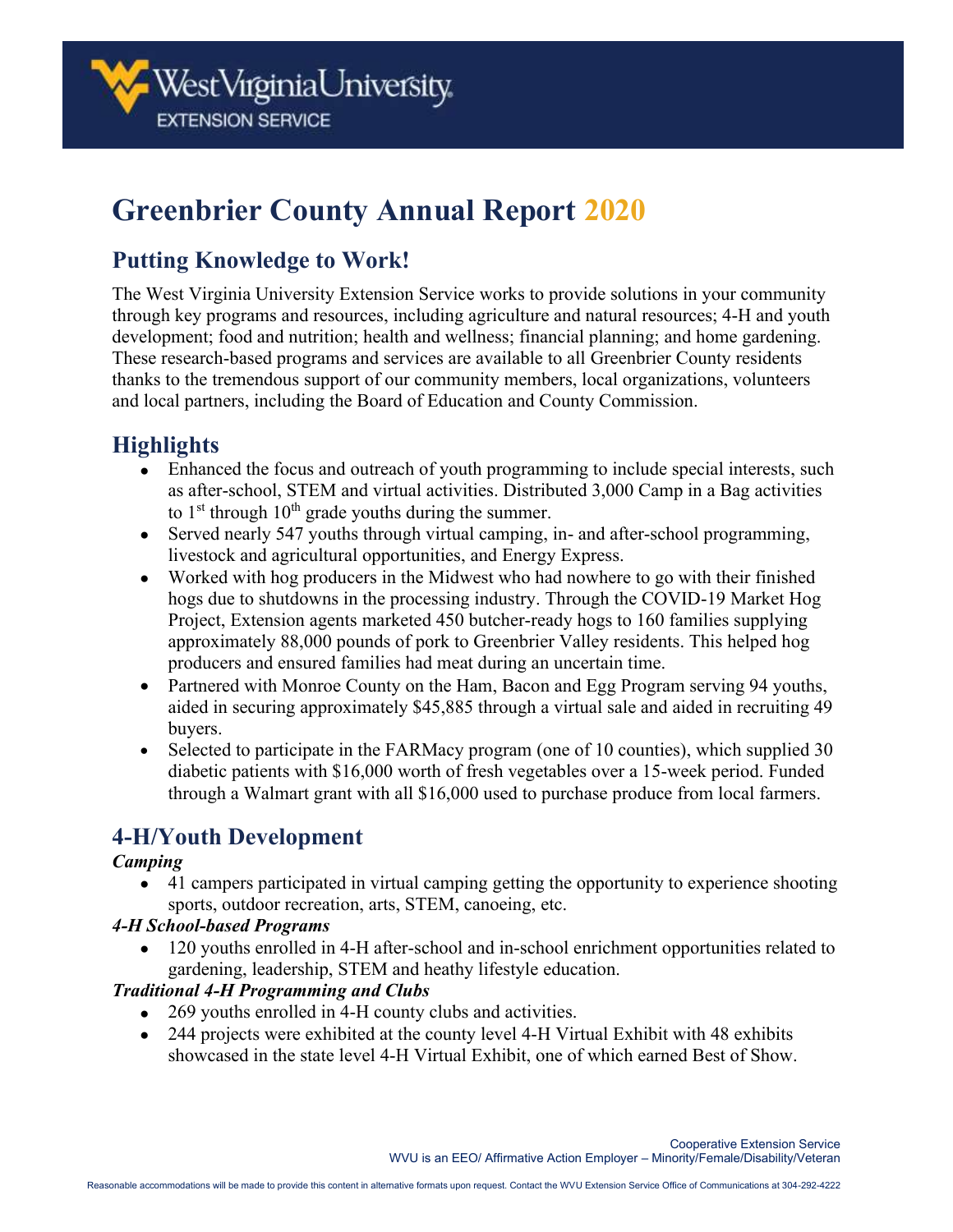

# **Greenbrier County Annual Report 2020**

### **Putting Knowledge to Work!**

The West Virginia University Extension Service works to provide solutions in your community through key programs and resources, including agriculture and natural resources; 4-H and youth development; food and nutrition; health and wellness; financial planning; and home gardening. These research-based programs and services are available to all Greenbrier County residents thanks to the tremendous support of our community members, local organizations, volunteers and local partners, including the Board of Education and County Commission.

# **Highlights**

- Enhanced the focus and outreach of youth programming to include special interests, such as after-school, STEM and virtual activities. Distributed 3,000 Camp in a Bag activities to  $1<sup>st</sup>$  through  $10<sup>th</sup>$  grade youths during the summer.
- Served nearly 547 youths through virtual camping, in- and after-school programming, livestock and agricultural opportunities, and Energy Express.
- Worked with hog producers in the Midwest who had nowhere to go with their finished hogs due to shutdowns in the processing industry. Through the COVID-19 Market Hog Project, Extension agents marketed 450 butcher-ready hogs to 160 families supplying approximately 88,000 pounds of pork to Greenbrier Valley residents. This helped hog producers and ensured families had meat during an uncertain time.
- Partnered with Monroe County on the Ham, Bacon and Egg Program serving 94 youths, aided in securing approximately \$45,885 through a virtual sale and aided in recruiting 49 buyers.
- Selected to participate in the FARMacy program (one of 10 counties), which supplied 30 diabetic patients with \$16,000 worth of fresh vegetables over a 15-week period. Funded through a Walmart grant with all \$16,000 used to purchase produce from local farmers.

# **4-H/Youth Development**

#### *Camping*

• 41 campers participated in virtual camping getting the opportunity to experience shooting sports, outdoor recreation, arts, STEM, canoeing, etc.

### *4-H School-based Programs*

• 120 youths enrolled in 4-H after-school and in-school enrichment opportunities related to gardening, leadership, STEM and heathy lifestyle education.

### *Traditional 4-H Programming and Clubs*

- 269 youths enrolled in 4-H county clubs and activities.
- 244 projects were exhibited at the county level 4-H Virtual Exhibit with 48 exhibits showcased in the state level 4-H Virtual Exhibit, one of which earned Best of Show.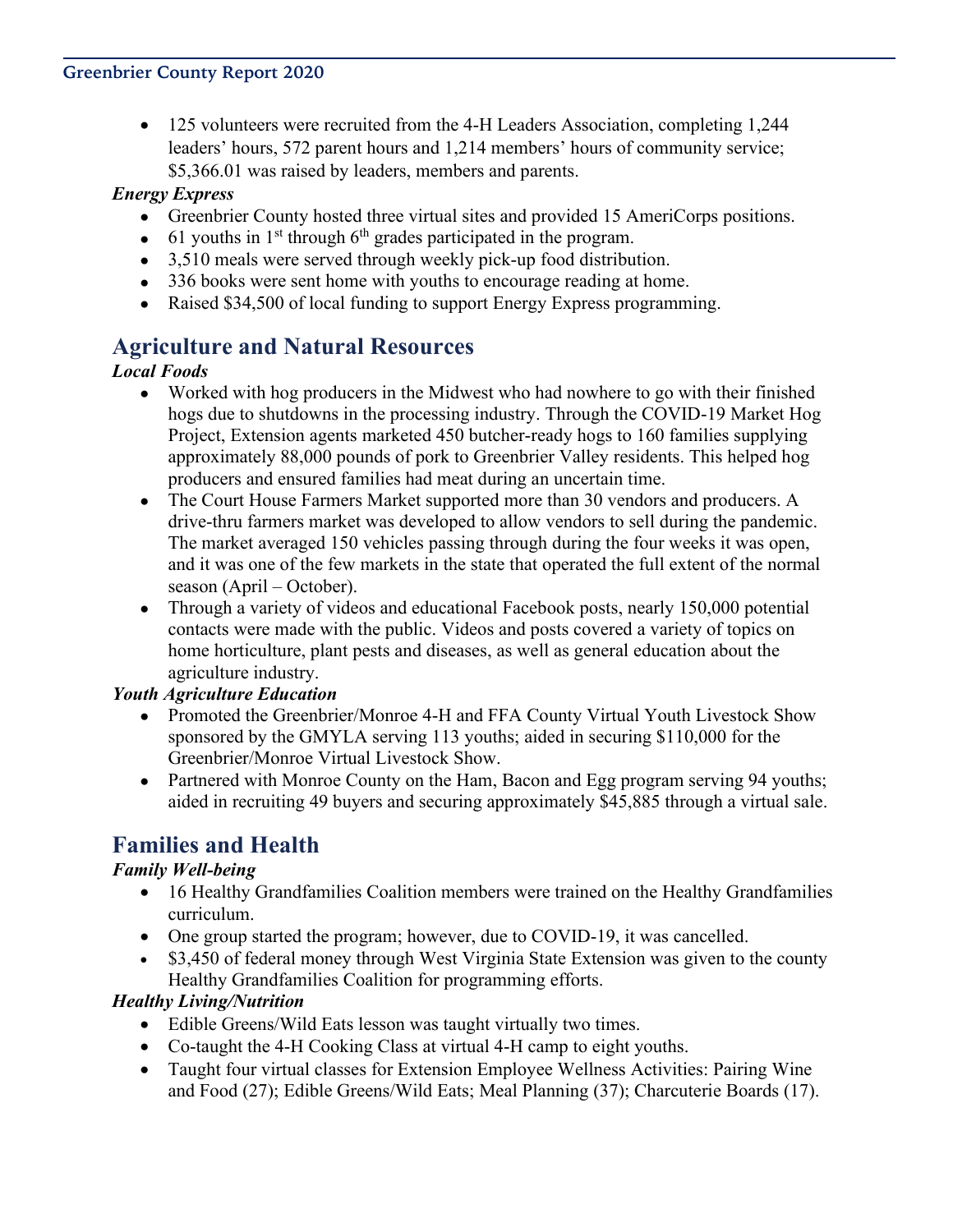• 125 volunteers were recruited from the 4-H Leaders Association, completing 1,244 leaders' hours, 572 parent hours and 1,214 members' hours of community service; \$5,366.01 was raised by leaders, members and parents.

### *Energy Express*

- Greenbrier County hosted three virtual sites and provided 15 AmeriCorps positions.
- 61 youths in  $1<sup>st</sup>$  through  $6<sup>th</sup>$  grades participated in the program.
- 3,510 meals were served through weekly pick-up food distribution.
- 336 books were sent home with youths to encourage reading at home.
- Raised \$34,500 of local funding to support Energy Express programming.

### **Agriculture and Natural Resources**

### *Local Foods*

- Worked with hog producers in the Midwest who had nowhere to go with their finished hogs due to shutdowns in the processing industry. Through the COVID-19 Market Hog Project, Extension agents marketed 450 butcher-ready hogs to 160 families supplying approximately 88,000 pounds of pork to Greenbrier Valley residents. This helped hog producers and ensured families had meat during an uncertain time.
- The Court House Farmers Market supported more than 30 vendors and producers. A drive-thru farmers market was developed to allow vendors to sell during the pandemic. The market averaged 150 vehicles passing through during the four weeks it was open, and it was one of the few markets in the state that operated the full extent of the normal season (April – October).
- Through a variety of videos and educational Facebook posts, nearly 150,000 potential contacts were made with the public. Videos and posts covered a variety of topics on home horticulture, plant pests and diseases, as well as general education about the agriculture industry.

### *Youth Agriculture Education*

- Promoted the Greenbrier/Monroe 4-H and FFA County Virtual Youth Livestock Show sponsored by the GMYLA serving 113 youths; aided in securing \$110,000 for the Greenbrier/Monroe Virtual Livestock Show.
- Partnered with Monroe County on the Ham, Bacon and Egg program serving 94 youths; aided in recruiting 49 buyers and securing approximately \$45,885 through a virtual sale.

# **Families and Health**

### *Family Well-being*

- 16 Healthy Grandfamilies Coalition members were trained on the Healthy Grandfamilies curriculum.
- One group started the program; however, due to COVID-19, it was cancelled.
- \$3,450 of federal money through West Virginia State Extension was given to the county Healthy Grandfamilies Coalition for programming efforts.

### *Healthy Living/Nutrition*

- Edible Greens/Wild Eats lesson was taught virtually two times.
- Co-taught the 4-H Cooking Class at virtual 4-H camp to eight youths.
- Taught four virtual classes for Extension Employee Wellness Activities: Pairing Wine and Food (27); Edible Greens/Wild Eats; Meal Planning (37); Charcuterie Boards (17).